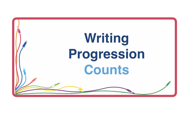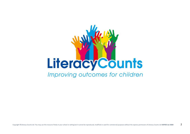# **Literacy Counts** Improving outcomes for children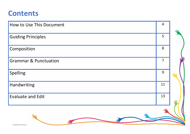#### **Contents**

| How to Use This Document         | $\overline{4}$ |  |
|----------------------------------|----------------|--|
| <b>Guiding Principles</b>        | 5              |  |
| Composition                      | 8              |  |
| <b>Grammar &amp; Punctuation</b> | $\overline{7}$ |  |
| Spelling                         | 9              |  |
| Handwriting                      | 11             |  |
| <b>Evaluate and Edit</b>         | 13             |  |
| Copyright © Literacy             |                |  |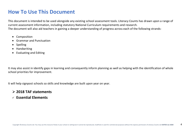#### **How To Use This Document**

This document is intended to be used alongside any existing school assessment tools. Literacy Counts has drawn upon a range of current assessment information, including statutory National Curriculum requirements and research. The document will also aid teachers in gaining a deeper understanding of progress across each of the following strands:

- Composition
- Grammar and Punctuation
- Spelling
- **Handwriting**
- Evaluating and Editing

It may also assist in identify gaps in learning and consequently inform planning as well as helping with the identification of whole school priorities for improvement.

It will help signpost schools so skills and knowledge are built upon year on year.

#### ➢ **2018 TAF statements**

✓ **Essential Elements**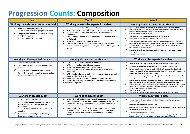#### **Progression Counts: Composition**

| <b>Year 1</b>                                                                                                                                                                                                                                                                              | <b>Year 2</b>                                                                                                                                                                                                                                                                                                                                                                                                                                                                                                                       | <b>Year 3</b>                                                                                                                                                                                                                                                                                                                                                                                                                                                                                                                                                                                                                                                                                                                                                                                                                                                                                                                                                                                                                                       |
|--------------------------------------------------------------------------------------------------------------------------------------------------------------------------------------------------------------------------------------------------------------------------------------------|-------------------------------------------------------------------------------------------------------------------------------------------------------------------------------------------------------------------------------------------------------------------------------------------------------------------------------------------------------------------------------------------------------------------------------------------------------------------------------------------------------------------------------------|-----------------------------------------------------------------------------------------------------------------------------------------------------------------------------------------------------------------------------------------------------------------------------------------------------------------------------------------------------------------------------------------------------------------------------------------------------------------------------------------------------------------------------------------------------------------------------------------------------------------------------------------------------------------------------------------------------------------------------------------------------------------------------------------------------------------------------------------------------------------------------------------------------------------------------------------------------------------------------------------------------------------------------------------------------|
| Working towards the expected standard                                                                                                                                                                                                                                                      | Working towards the expected standard                                                                                                                                                                                                                                                                                                                                                                                                                                                                                               | Working towards the expected standard                                                                                                                                                                                                                                                                                                                                                                                                                                                                                                                                                                                                                                                                                                                                                                                                                                                                                                                                                                                                               |
| Draw upon what they have read<br>Say out loud what they are going to write about<br>Compose some sentences orally before writing<br>them (with support)<br>Read some of their writing aloud                                                                                                | Plan and say out loud what they will write about<br>When planning write some ideas and key words including vocabulary<br>Encapsulate what they want to say sentence by sentence to aid<br>coherence<br>Write sentences that are sequenced to form a short narrative (real<br>⋗<br>or fictional)<br>Write poetry and write for different purposes<br>$\bullet$<br>Understand and use specific year 2 terminology (noun, statement,<br>$\bullet$<br>question, exclamation, command, suffix, adjective, past tense, present<br>tense.) | Discuss, record and orally rehearse their ideas before writing including dialogue<br>Discuss writing similar to that which they are planning to write in order to understand<br>and learn from its structure, vocabulary and grammar<br>Organise some ideas into paragraphs<br>Structure text types across a range of genres mostly correctly<br>Use present and past tense forms of verbs mostly correctly<br>✓<br>Use noun phrases expanded by the addition of a modifying adjective, nouns and<br>prepositional phrases (e.g. The rainbow coloured fish jumped out of the deep water.)<br>Use coordinate conjunctions (and, but, or, so) and subordinate conjunctions (when, if,<br>that, because) to extend sentences<br>✓<br>Expressing time, place and cause using adverbs (e.g. then, next) and prepositions<br>(e.g. before, in)<br>Draw upon material read                                                                                                                                                                                 |
| Working at the expected standard                                                                                                                                                                                                                                                           | Working at the expected standard                                                                                                                                                                                                                                                                                                                                                                                                                                                                                                    | Working at the expected standard                                                                                                                                                                                                                                                                                                                                                                                                                                                                                                                                                                                                                                                                                                                                                                                                                                                                                                                                                                                                                    |
| Draw upon what they have read<br>Orally rehearse most sentences before writing<br>them<br>Sequence sentences to form short narratives<br>Read their writing aloud clearly enough to be heard<br>by their peers and the teacher                                                             | Plan and say out loud what they will write about<br>Write poetry and write for different purposes<br>Write ideas and key words including vocabulary<br>Encapsulate what they want to say sentence by sentence to aid<br>coherence<br>Write simple, coherent narratives about personal experiences and<br>⋗<br>those of others (real or fictional)<br>Write about real events, recording these simply and clearly<br>⋗<br>Read aloud what they have written with appropriate intonation to<br>make the meaning clear                 | Write narratives, describing setting and characters within a storyline or plot<br>Use paragraphing to group related material, focusing on a theme or topic<br>In non-narrative, use simple organisational devices (heading and subheadings)<br>Use the present perfect form of verbs instead of the simple past (e.g. 'He has gone out<br>to play' in contrast to 'He went out to play.')<br>Extend sentences using a wider range of conjunctions other than those stated in the<br>working towards standard<br>√<br>Express time, place and cause using conjunctions (e.g. before, after, while), adverbs<br>(e.g. soon, therefore) and prepositions (e.g. before, after, during, because of)<br>Understand and use specific year 3 terminology (preposition, conjunction, word family,<br>$\bullet$<br>prefix, clause, subordinate clause, direct speech, consonant, consonant letter, vowel<br>letter, inverted commas and speech marks)<br>Draw upon material read<br>Use, when appropriate, figurative language included metaphors and similes |
| Working at greater depth                                                                                                                                                                                                                                                                   | Working at greater depth                                                                                                                                                                                                                                                                                                                                                                                                                                                                                                            | Working at greater depth                                                                                                                                                                                                                                                                                                                                                                                                                                                                                                                                                                                                                                                                                                                                                                                                                                                                                                                                                                                                                            |
| Draw upon what they have read<br>Begin to write for different purposes such as real<br>events, poetry, narratives and personal<br>experiences<br>Sequence sentences confidently to form short<br>narratives<br>Produce more extended pieces of writing to<br>demonstrate greater coherence | Write effectively and coherently for different purposes, drawing on<br>⋗<br>their reading to inform the vocabulary and grammar of their writing<br>Read aloud what they have written with appropriate intonation to<br>$\bullet$<br>make the meaning clear<br>Understand and use specific year 2 terminology (noun, noun phrase,<br>statement, question, exclamation, command, compound, suffix,<br>adjective, adverb, verb, past tense, present tense, apostrophe,<br>comma)                                                       | write narratives with controlled and considered development of character, plot and<br>detailed description<br>Use with confidence different sentence types<br>make appropriate and ambitious vocabulary and grammar choices to interest and entertain<br>the reader and create intended effect<br>consistently use paragraphs to structure writing<br>in non-narrative, use a wide range of organisational devices to inform and engage an intended audience<br>(headings, sub-headings, bullet points for a list, numbers for stages, captions for pictures)                                                                                                                                                                                                                                                                                                                                                                                                                                                                                       |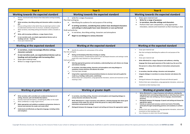| Year 4                                                                                                                                                                                                                                                                                                                                                                                                                                                                                                                                                                                                           | <b>Year 5</b>                                                                                                                                                                                                                                                                                                                                                                                                                                                                                                                                                                                                                                                                                                                                                                                                                                                                                                     | Year <sub>6</sub>                                                                                                                                                                                                                                                                                                                                                                                                                                                                                                                                                                                                                                                                                                                                |
|------------------------------------------------------------------------------------------------------------------------------------------------------------------------------------------------------------------------------------------------------------------------------------------------------------------------------------------------------------------------------------------------------------------------------------------------------------------------------------------------------------------------------------------------------------------------------------------------------------------|-------------------------------------------------------------------------------------------------------------------------------------------------------------------------------------------------------------------------------------------------------------------------------------------------------------------------------------------------------------------------------------------------------------------------------------------------------------------------------------------------------------------------------------------------------------------------------------------------------------------------------------------------------------------------------------------------------------------------------------------------------------------------------------------------------------------------------------------------------------------------------------------------------------------|--------------------------------------------------------------------------------------------------------------------------------------------------------------------------------------------------------------------------------------------------------------------------------------------------------------------------------------------------------------------------------------------------------------------------------------------------------------------------------------------------------------------------------------------------------------------------------------------------------------------------------------------------------------------------------------------------------------------------------------------------|
| Working towards the expected standard                                                                                                                                                                                                                                                                                                                                                                                                                                                                                                                                                                            | Working towards the expected standard                                                                                                                                                                                                                                                                                                                                                                                                                                                                                                                                                                                                                                                                                                                                                                                                                                                                             | Working towards the expected standard                                                                                                                                                                                                                                                                                                                                                                                                                                                                                                                                                                                                                                                                                                            |
| Discuss, record and orally rehearse their ideas before writing including<br>dialogue<br>✓<br>Write narratives, describing setting and characters within a storyline or<br>plot<br>Discuss writing similar to that which they are planning to write in order<br>to understand and learn from its structure, vocabulary and grammar<br>Write narratives, describing setting and characters within a storyline or<br>plot<br>Write, with increasing confidence, a range of genre forms<br>In non-narrative work, use simple organisational devices such as<br>headings and sub- headings<br>Draw upon material read | write for a range of purposes<br>$\bullet$<br>Plan their writing by:<br>Identifying the audience for and purpose of the writing<br>$\bullet$<br>✓<br>In writing narratives, considering how authors have developed characters<br>and settings in what pupils have read, listened to or seen performed<br>Draft and write by:<br>In narratives, describing setting, characters and atmosphere<br>Begin to use dialogue to convey character                                                                                                                                                                                                                                                                                                                                                                                                                                                                         | Draw upon material read<br>$\bullet$<br>Write for a range of purposes<br>In narratives, describe settings and characters<br>Perform their own compositions, using appropriate<br>intonation, volume and movement so that meaning is clear                                                                                                                                                                                                                                                                                                                                                                                                                                                                                                        |
| Working at the expected standard                                                                                                                                                                                                                                                                                                                                                                                                                                                                                                                                                                                 | Working at the expected standard                                                                                                                                                                                                                                                                                                                                                                                                                                                                                                                                                                                                                                                                                                                                                                                                                                                                                  | Working at the expected standard                                                                                                                                                                                                                                                                                                                                                                                                                                                                                                                                                                                                                                                                                                                 |
| In narratives, create increasingly effective settings,<br>characters and plot<br>In non-narrative work, use organisational devices such as<br>headings and sub headings with increasing effect<br>Draw upon material read<br>Write in a range of genre forms                                                                                                                                                                                                                                                                                                                                                     | ٠<br>Identify the audience for and purpose of the writing<br>Plan their writing by:<br>✓<br>Noting and developing initial ideas drawing on reading<br>In writing narratives, considering how authors have developed characters and settings in what<br>pupils have read, listened to or seen performed<br>Draft and write by:<br>$\checkmark$<br>Selecting appropriate grammar and vocabulary, understanding how such choices can change<br>and enhance meaning<br>✓<br>In narratives, describing setting, characters and atmosphere and using dialogue to<br>sometimes convey character and advance the action<br>Précising longer passages<br>Using further organisational and presentational devices to structure text and to guide the<br>reader (e.g. headings, bullet points, underlining)<br>Perform their own compositions, using appropriate intonation, volume and movement so that<br>meaning is clear | Draw upon material read<br>Plan their writing by identifying the audience for and purpose of the<br>writing<br>Draw upon material read<br>Write effectively for a range of purposes and audiences, selecting<br>$\triangleright$<br>language that shows good awareness of the reader (e.g. the use of the<br>first person in a diary; direct address in instructions and persuasive<br>writing)<br>In narratives, describe settings, characters and atmosphere<br>Integrate dialogue in narratives to convey character and advance the<br>action<br>Distinguish between the language of formal and informal speech<br>$\bullet$<br>Perform their own compositions, using appropriate intonation, volume and<br>movement so that meaning is clear |
| Working at greater depth                                                                                                                                                                                                                                                                                                                                                                                                                                                                                                                                                                                         | Working at greater depth                                                                                                                                                                                                                                                                                                                                                                                                                                                                                                                                                                                                                                                                                                                                                                                                                                                                                          | Working at greater depth                                                                                                                                                                                                                                                                                                                                                                                                                                                                                                                                                                                                                                                                                                                         |
| Write narratives with controlled and considered development of<br>setting, character, plot and detailed descriptions<br>Develop mood and atmosphere, considering the effect on the reader<br>Write confidently in a range of genre forms<br>Make appropriate and ambitious vocabulary and grammar choices to<br>interest and entertain the reader and create effect<br>Understand and effectively use figurative language, including similes<br>and metaphors                                                                                                                                                    | In narratives, describing setting, characters and atmosphere and integrating dialogue to<br>convey character and advance the action<br>Write effectively for a range of purposes and audiences, selecting language that shows good<br>awareness of the reader (e.g. the use of the first person in a diary; direct address in<br>instructions and persuasive writing)<br>Distinguish between the language of speech and writing and choose the appropriate register                                                                                                                                                                                                                                                                                                                                                                                                                                               | Write effectively for a range of purposes and audiences, selecting the<br>appropriate form and drawing independently on what they have read as<br>models for their own writing (e.g. literary language, characterisation,<br>structure)<br>Distinguish between the language of speech and writing and choose the<br>appropriate register<br>Exercise an assured and conscious control over levels of formality,<br>particularly through manipulating grammar and vocabulary to achieve<br>this<br>Perform their own compositions, using appropriate intonation, volume and<br>$\bullet$<br>movement so that meaning is clear<br>Use a thesaurus to select more focused language                                                                  |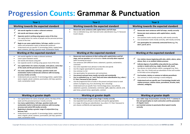## **Progression Counts: Grammar & Punctuation**

| Year 1                                                                                                                                                                                                                                                                                                                                                                                                                                                                                                                                                                                                                                      | Year <sub>2</sub>                                                                                                                                                                                                                                                                                                                                                                                                                                                                                                                                                                                                                                                                                                                                                                                                                                                                                                                                                                                                                                          | Year <sub>3</sub>                                                                                                                                                                                                                                                                                                                                                                                                                                                                                                                                                                                                                                                                                                                           |
|---------------------------------------------------------------------------------------------------------------------------------------------------------------------------------------------------------------------------------------------------------------------------------------------------------------------------------------------------------------------------------------------------------------------------------------------------------------------------------------------------------------------------------------------------------------------------------------------------------------------------------------------|------------------------------------------------------------------------------------------------------------------------------------------------------------------------------------------------------------------------------------------------------------------------------------------------------------------------------------------------------------------------------------------------------------------------------------------------------------------------------------------------------------------------------------------------------------------------------------------------------------------------------------------------------------------------------------------------------------------------------------------------------------------------------------------------------------------------------------------------------------------------------------------------------------------------------------------------------------------------------------------------------------------------------------------------------------|---------------------------------------------------------------------------------------------------------------------------------------------------------------------------------------------------------------------------------------------------------------------------------------------------------------------------------------------------------------------------------------------------------------------------------------------------------------------------------------------------------------------------------------------------------------------------------------------------------------------------------------------------------------------------------------------------------------------------------------------|
| Working towards the expected standard                                                                                                                                                                                                                                                                                                                                                                                                                                                                                                                                                                                                       | Working towards the expected standard                                                                                                                                                                                                                                                                                                                                                                                                                                                                                                                                                                                                                                                                                                                                                                                                                                                                                                                                                                                                                      | Working towards the expected standard                                                                                                                                                                                                                                                                                                                                                                                                                                                                                                                                                                                                                                                                                                       |
| Join words together to make a coherent sentence<br>Join words and clauses using 'and'<br>Separate words in writing using spaces some of the time<br>Use capital letters for names of people and the personal pronoun<br>I some of the time<br>Begin to use some capital letters, full stops, and/or question<br>marks and exclamation marks to demarcate sentences<br>Understand and use specific Y1 terminology (letter, capital letter,<br>word, sentence, full stop, question mark, exclamation mark)                                                                                                                                    | Demarcate some sentences with capital letters and full stops<br>Use co-ordination (e.g. and / but) and some subordination (e.g. if / because)<br>to join clauses                                                                                                                                                                                                                                                                                                                                                                                                                                                                                                                                                                                                                                                                                                                                                                                                                                                                                           | Demarcate most sentences with full stops, mostly correctly<br>✓<br>Demarcate most sentences with capital letters, mostly<br>correctly<br>Use question marks mostly correctly, with mostly correctly<br>$\bullet$<br>Use exclamation marks mostly correctly, with mostly correctly<br>$\bullet$<br>Use apostrophes for commonly contracted forms e.g. I'm,<br>don't, you'll, we're                                                                                                                                                                                                                                                                                                                                                           |
| Working at the expected standard                                                                                                                                                                                                                                                                                                                                                                                                                                                                                                                                                                                                            | Working at the expected standard                                                                                                                                                                                                                                                                                                                                                                                                                                                                                                                                                                                                                                                                                                                                                                                                                                                                                                                                                                                                                           | Working at the expected standard                                                                                                                                                                                                                                                                                                                                                                                                                                                                                                                                                                                                                                                                                                            |
| Join words together to make a coherent sentence<br>Leave spaces between words<br>Join words and clauses using and<br>Can separate words in writing using spaces most of the time<br>Use capital letters for names of people, some places, some days<br>of the week and the personal pronoun I mostly correctly<br>Use some capital letters, full stops, question marks and<br>exclamation marks to demarcate sentences with increasing<br>accuracy mostly correctly<br>Understand and use specific Y1 terminology (letter, capital letter,<br>word, singular, plural, sentence, punctuation, full stop, question<br>mark, exclamation mark) | Demarcate most sentences in their writing with capital letters and full<br>stops, and use question and exclamation marks correctly when required<br>(with increasing accuracy)<br>Use sentences with different forms: statement, question, exclamation,<br>command<br>Use some expanded noun phrases to describe and specify<br>Use the singular apostrophe for possession<br>Use commas in a list<br>Use apostrophes for possession and contractions<br>$\blacktriangleright$<br>Use present and past tense mostly correctly and consistently<br>$\blacktriangleright$<br>Use co-ordination (e.g. or / and / but) and some subordination (e.g. when /<br>if / that / because) to join clauses<br>Use the progressive form of verbs in the present and past tense to mark<br>$\bullet$<br>actions in progress (e.g. he is drumming, she is shouting)<br>Understand and use specific Year 2 terminology (noun, noun phrase,<br>statement, question, exclamation, command, suffix, adjective, adverb, verb,<br>past tense, present tense, apostrophe, comma) | ✓<br>Use relative clauses beginning with who, which, where, when,<br>whose, that, or an omitted relative pronoun<br>$\checkmark$<br>Indicate degrees of possibility using adverbs (e.g. perhaps,<br>surely) or modal verbs (e.g. might, should, will, must)<br>Use devices to build cohesion within a paragraph (e.g. then,<br>after, that, this, firstly) and use adverbials of time and number<br>to link ideas across paragraphs<br>√<br>Use brackets, dashes or commas to indicate parenthesis<br>Use commas to clarify meaning or avoid ambiguity<br>$\bullet$<br>$\checkmark$<br>Understand and use specific year 5 terminology (modal verb,<br>relative pronoun, relative clause, parenthesis, bracket, dash,<br>cohesion, ambiguity |
| Working at greater depth                                                                                                                                                                                                                                                                                                                                                                                                                                                                                                                                                                                                                    | Working at greater depth                                                                                                                                                                                                                                                                                                                                                                                                                                                                                                                                                                                                                                                                                                                                                                                                                                                                                                                                                                                                                                   | Working at greater depth                                                                                                                                                                                                                                                                                                                                                                                                                                                                                                                                                                                                                                                                                                                    |
| Use capital letters for names of people, places, the days of the<br>$\bullet$<br>week and the personal pronoun I mostly correctly<br>Use many capital letters, full stops, question marks and<br>exclamation marks to demarcate sentences with increasing<br>accuracy and control OR mostly correctly<br>Beginning to develop a greater range of conjunctions (e.g.<br>because, but)<br>Understand and use specific Y1 terminology (letter, capital letter,<br>word, singular, plural, sentence, punctuation, full stop, question<br>mark, exclamation mark)                                                                                | Use the punctuation taught at Key Stage 1 mostly correctly<br>Use expanded noun phrases to describe and specify appropriately<br>In a range of writing use subordination (e.g. when / if / that / because) to<br>join clauses confidently and appropriately                                                                                                                                                                                                                                                                                                                                                                                                                                                                                                                                                                                                                                                                                                                                                                                                | use a wide range of punctuation correctly: FS CL ? ! commas in<br>lists and apostrophes to mark contraction and the possession<br>of singular nouns<br>use inverted commas to punctuate direct speech mostly<br>correctly                                                                                                                                                                                                                                                                                                                                                                                                                                                                                                                   |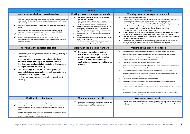| Year <sub>4</sub>                                                                                                                                                                                                                                                                                                                                                                                                                                                                                                                                                                                                                                                                               | <b>Year 5</b>                                                                                                                                                                                                                                                                                                                                                                                                                                                                                                                                                                                                                                                                                                                                     | Year <sub>6</sub>                                                                                                                                                                                                                                                                                                                                                                                                                                                                                                                                                                                                                                                                                                                                                                                                                                                                                                                                                                                                                                                                                                                                                                                                                                                                                                                                                                                                                                       |
|-------------------------------------------------------------------------------------------------------------------------------------------------------------------------------------------------------------------------------------------------------------------------------------------------------------------------------------------------------------------------------------------------------------------------------------------------------------------------------------------------------------------------------------------------------------------------------------------------------------------------------------------------------------------------------------------------|---------------------------------------------------------------------------------------------------------------------------------------------------------------------------------------------------------------------------------------------------------------------------------------------------------------------------------------------------------------------------------------------------------------------------------------------------------------------------------------------------------------------------------------------------------------------------------------------------------------------------------------------------------------------------------------------------------------------------------------------------|---------------------------------------------------------------------------------------------------------------------------------------------------------------------------------------------------------------------------------------------------------------------------------------------------------------------------------------------------------------------------------------------------------------------------------------------------------------------------------------------------------------------------------------------------------------------------------------------------------------------------------------------------------------------------------------------------------------------------------------------------------------------------------------------------------------------------------------------------------------------------------------------------------------------------------------------------------------------------------------------------------------------------------------------------------------------------------------------------------------------------------------------------------------------------------------------------------------------------------------------------------------------------------------------------------------------------------------------------------------------------------------------------------------------------------------------------------|
| Working towards the expected standard                                                                                                                                                                                                                                                                                                                                                                                                                                                                                                                                                                                                                                                           | Working towards the expected standard                                                                                                                                                                                                                                                                                                                                                                                                                                                                                                                                                                                                                                                                                                             | Working towards the expected standard                                                                                                                                                                                                                                                                                                                                                                                                                                                                                                                                                                                                                                                                                                                                                                                                                                                                                                                                                                                                                                                                                                                                                                                                                                                                                                                                                                                                                   |
| Begin to use noun phrases expanded by the addition of modifying adjectives, nouns<br>and preposition phrases (e.g. The teacher is expanded to; the strict Maths teacher<br>with curly hair)<br>Begin to use fronted adverbials (e.g. Later that day) sometimes followed by a<br>comma<br>Use paragraphing to group related material, focusing on a theme or topic<br>Begin to use pronouns or nouns within and across sentences to aid cohesion<br>Use inverted commas mostly accurately for direct speech<br>Use the apostrophe for singular possession, (e.g. The girl's name)<br>Use standard English forms sometimes correctly (e.g. we were instead of we was, I<br>did instead of I done) | Use fronted adverbials (e.g. Later that day) with a<br>$\checkmark$<br>comma mostly correctly<br>Use paragraphing to organise ideas around a theme<br>Select appropriate pronouns or nouns within and across<br>sentences to aid cohesion and avoid repetition<br>Use inverted commas and other punctuation to indicate<br>direct speech mostly correctly (e.g. comma after the<br>reporting clause, punctuation within inverted commas:<br>The conductor shouted, "Sit down! ")<br>Use a new line for a new speaker when writing direct<br>speech<br>Use apostrophes to mark plural possession (e.g. The girl's<br>name, the girls' names)<br>Understand and use specific Y4 terminology (determiner,<br>pronoun, possessive pronoun, adverbial) | Use paragraphs to organise ideas<br>Begin to use a range of devices to build cohesion (e.g. conjunctions, adverbials of<br>time and place, pronouns, synonyms) within and across paragraphs<br>Use some of the range of punctuation taught at Key Stage 2 mostly correctly (e.g.<br>inverted commas and other punctuation to indicate direct speech)<br>Use of the colon to introduce a list and the semi-colon within lists<br>Punctuation of bullet points to list information<br>↘<br>In non-narrative writing, use simple devices to structure the writing and support<br>the reader (e.g. headings, sub-headings, bullet points, columns, tables)<br>$\blacktriangleright$<br>Use capital letters, full stops, question marks, commas for lists and apostrophes<br>for contraction mostly correctly<br>Understand and use specific year 6 terminology (subject, object, active, passive,<br>synonym, antonym, ellipses, hyphen, colon, semi-colon, bullet point)                                                                                                                                                                                                                                                                                                                                                                                                                                                                                   |
| Working at the expected standard                                                                                                                                                                                                                                                                                                                                                                                                                                                                                                                                                                                                                                                                | Working at the expected standard                                                                                                                                                                                                                                                                                                                                                                                                                                                                                                                                                                                                                                                                                                                  | Working at the expected standard                                                                                                                                                                                                                                                                                                                                                                                                                                                                                                                                                                                                                                                                                                                                                                                                                                                                                                                                                                                                                                                                                                                                                                                                                                                                                                                                                                                                                        |
| Consistently use paragraphs to structure writing, showing a<br>change of time<br>In non-narrative, use a wide range of organisational<br>devices to inform and engage an intended audience<br>(headings, sub-headings, bullet points for a list, numbers<br>for stages, captions for pictures)<br>✓<br>Use a wide range of punctuation correctly: FS CL ? !<br>commas in lists and apostrophes to mark contraction and<br>the possession of singular nouns<br>Use inverted commas to punctuate direct speech mostly<br>correctly                                                                                                                                                                | Use a wide range of punctuation<br>correctly: full stops, capital letters,<br>question marks, exclamation marks,<br>commas in a list, apostrophes for<br>contraction and possession and inverted<br>commas                                                                                                                                                                                                                                                                                                                                                                                                                                                                                                                                        | Select vocabulary and grammatical structures that reflect what the writing requires, doing this mostly<br>appropriately (e.g. using contracted forms in dialogues in narrative; using passive verbs to affect how<br>information is presented; using modal verbs to suggest degrees of possibility)<br>Use the perfect form of verbs to mark relationships of time and cause<br>Use expanded noun phrases to convey complicated information concisely<br>Use a range of devices to build cohesion (e.g. conjunctions, adverbials of time and place, pronouns, synonyms,<br>$\blacktriangleright$<br>figurative language) within and across paragraphs<br>Understand how words are related by meaning as synonyms and antonyms (e.g. big, large, little)<br>Use the passive voice to affect the presentation of information in a sentence (e.g. I broke the window in the<br>greenhouse/The window in the greenhouse was broken.)<br>⋗<br>Use verb tenses consistently and correctly throughout their writing<br>Use the range of punctuation taught at key stage 2 mostly correctly (e.g. inverted commas and other<br>punctuation to indicate direct speech)<br>Use of the semi-colon, colon and dash to mark the boundary between independent clauses (e.g. It's raining; I'm fed<br>up)<br>Understand and use specific year 6 terminology (subject, object, active, passive, synonym, antonym, ellipses,<br>hyphen, colon, semi-colon, bullet point) |
| Working at greater depth                                                                                                                                                                                                                                                                                                                                                                                                                                                                                                                                                                                                                                                                        | Working at greater depth                                                                                                                                                                                                                                                                                                                                                                                                                                                                                                                                                                                                                                                                                                                          | Working at greater depth                                                                                                                                                                                                                                                                                                                                                                                                                                                                                                                                                                                                                                                                                                                                                                                                                                                                                                                                                                                                                                                                                                                                                                                                                                                                                                                                                                                                                                |
| Consistently use paragraphs to structure writing, showing a change of time<br>In non-narrative, use a wide range of organisational devices to inform and engage an intended<br>audience (headings, sub-headings, bullet points for a list, numbers for stages, captions for<br>pictures)<br>Use a wide range of punctuation correctly: FS CL ? ! commas in lists and apostrophes to mark<br>contraction and the possession of singular nouns<br>Use inverted commas to punctuate direct speech mostly correctly<br>٠                                                                                                                                                                            | ✓<br>Confidently use the range of punctuation taught at Key<br>Stage 2 mostly correctly (e.g. inverted commas and<br>other punctuation to indicate direct speech)                                                                                                                                                                                                                                                                                                                                                                                                                                                                                                                                                                                 | Use the range of punctuation taught at key stage 2 correctly (e.g. semi-colons, dashes, colons,<br>hyphens) and, when necessary, use such punctuation precisely to enhance meaning and avoid<br>ambiguity.                                                                                                                                                                                                                                                                                                                                                                                                                                                                                                                                                                                                                                                                                                                                                                                                                                                                                                                                                                                                                                                                                                                                                                                                                                              |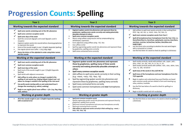### **Progression Counts: Spelling**

| Year 1                                                                                                                                                                                                                                                                                                                                                                                                                                                                                                                                                                                                                                 | Year <sub>2</sub>                                                                                                                                                                                                                                                                                                                                                                                                                                                                                                                                  | Year <sub>3</sub>                                                                                                                                                                                                                                                                                                                                                                                                                                                                                                                                                                                                                                                       |
|----------------------------------------------------------------------------------------------------------------------------------------------------------------------------------------------------------------------------------------------------------------------------------------------------------------------------------------------------------------------------------------------------------------------------------------------------------------------------------------------------------------------------------------------------------------------------------------------------------------------------------------|----------------------------------------------------------------------------------------------------------------------------------------------------------------------------------------------------------------------------------------------------------------------------------------------------------------------------------------------------------------------------------------------------------------------------------------------------------------------------------------------------------------------------------------------------|-------------------------------------------------------------------------------------------------------------------------------------------------------------------------------------------------------------------------------------------------------------------------------------------------------------------------------------------------------------------------------------------------------------------------------------------------------------------------------------------------------------------------------------------------------------------------------------------------------------------------------------------------------------------------|
| Working towards the expected standard                                                                                                                                                                                                                                                                                                                                                                                                                                                                                                                                                                                                  | Working towards the expected standard                                                                                                                                                                                                                                                                                                                                                                                                                                                                                                              | Working towards the expected standard                                                                                                                                                                                                                                                                                                                                                                                                                                                                                                                                                                                                                                   |
| Spell some words containing each of the 40+ phonemes<br>Spell some common exception words<br>Spell some days of the week<br>Spell the consonant digraphs and vowel digraphs used in<br>reception<br>Segment spoken words into sounds before choosing graphemes<br>to represent the sound<br>Some of the sounds taught in year 1 (English Appendix Spelling)<br>Use regular plural noun suffix - s (e.g. dog, dogs)<br>Name the letters of the alphabet in order using letter names<br>and the sounds                                                                                                                                   | Segment spoken words into phonemes and represent these by<br>graphemes, spelling some words correctly and making phonically-<br>plausible attempts at others<br>Spell some common exception words<br>Nouns using suffixes using ness/er and by compounding (e.g.<br>whiteboard, superman)<br>Form adjectives using suffixes using -ful, -less<br>Use suffixes er/est<br>Spell by segmenting spoken words into phonemes and represent these<br>by graphemes, spelling some correctly<br>Spell some contracted forms correctly                       | Add suffixes to spell most words correctly in their writing (from<br>KS1): -ing, -ed, -est, -y, -ment, -ness, -ful, -less, -ly<br>Spell most common exception words from Year 2<br>Spell all homophones/near homophones from the Year 2 list, i.e.<br>there/their/they're, here/hear, quite/quiet, sea/see, bear/bare,<br>one/won, sun/son, to/too/two, be/bee, blue/blew and<br>knight/night<br>Use the forms a/an according to whether the next word begins<br>with a consonant or a vowel<br>Use the first letter of a word to check its spelling in a dictionary                                                                                                    |
| Working at the expected standard                                                                                                                                                                                                                                                                                                                                                                                                                                                                                                                                                                                                       | Working at the expected standard                                                                                                                                                                                                                                                                                                                                                                                                                                                                                                                   | Working at the expected standard                                                                                                                                                                                                                                                                                                                                                                                                                                                                                                                                                                                                                                        |
| Spell most words containing each of the 40+ phonemes<br>Spell most common exception words<br>Spell most days of the week<br>Spell most of the sounds taught in year 1 (English Appendix<br>Spelling)<br>Spell words with adjacent consonants<br>Add suffixes to verbs where no change is needed in the<br>spelling of root words (e.g. helping helped, helper) and -est<br>where no change is needed in the spelling of the root word<br>Use prefix words starting with un and understand how it<br>changes the meaning (e.g. unkind, undoing)<br>Begin to use regular plural noun suffixes $- s/es$ (e.g. dog, dogs,<br>wish, wishes) | Segment spoken words into phonemes and represent<br>these by graphemes, spelling many of these words<br>correctly and making phonically-plausible attempts at<br>others<br>Spell many common exception words<br>↘<br>Add suffixes to spell some words correctly in their writing<br>(e.g. -ment, -ness, -ful, -less, -ly)<br>Spell by segmenting spoken words into phonemes and<br>represent these by graphemes, spelling many correctly<br>Spell many contracted forms correctly<br>Spell some common homophones and near homophones<br>correctly | Spell mostly correctly, words with prefixes: sub-, super-, anti-,<br>auto-, inter-, un-, dis-, mis-, in-, il-, im-, ir-, re-.<br>Spell mostly correctly words with suffixes: -tion, -sion, -ation, -ture,<br>-sure, -ly, -ally, -ed and er<br>Spell many of the words in the yr3/4 NC list<br>Spell many of the homophones and near homophones from the<br>Y3/4 appendix<br>Begin to explore and understand how word families are based<br>upon common words and are related in form and meaning e.g.<br>solve, solution, insoluble<br>٠<br>Use the first two letters of a word to check its spelling in a<br>dictionary<br>Begin to build a varied and rich vocabulary |
| Working at greater depth                                                                                                                                                                                                                                                                                                                                                                                                                                                                                                                                                                                                               | Working at greater depth                                                                                                                                                                                                                                                                                                                                                                                                                                                                                                                           | Working at greater depth                                                                                                                                                                                                                                                                                                                                                                                                                                                                                                                                                                                                                                                |
| All of the sounds taught in year 1 (English Appendix Spelling)<br>with occasional error                                                                                                                                                                                                                                                                                                                                                                                                                                                                                                                                                | Spell most common exception words<br>Spell by segmenting spoken words into phonemes and represent these by<br>graphemes, spelling most correctly<br>Spell most common homophones and some near homophones correctly<br>Spell most contracted forms correctly<br>Add suffixes to spell most words correctly in their writing (e.g. -ment, -<br>ness, -ful, -less, -ly)                                                                                                                                                                              | Use the first three or more letters of a word to check its spelling in<br>a dictionary                                                                                                                                                                                                                                                                                                                                                                                                                                                                                                                                                                                  |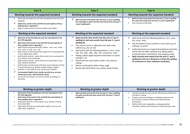| Year 4                                                                                                                                                                                                                                                                                                                                                                                                                                                                                                                                                                                                                                                                                                                                                                                                                                                                                                                                                                                    | Year <sub>5</sub>                                                                                                                                                                                                                                                                                                                                                                                                                                                                                                                                                                                                              | Year <sub>6</sub>                                                                                                                                                                                                                                                                                                                                                                                                                                                                                              |
|-------------------------------------------------------------------------------------------------------------------------------------------------------------------------------------------------------------------------------------------------------------------------------------------------------------------------------------------------------------------------------------------------------------------------------------------------------------------------------------------------------------------------------------------------------------------------------------------------------------------------------------------------------------------------------------------------------------------------------------------------------------------------------------------------------------------------------------------------------------------------------------------------------------------------------------------------------------------------------------------|--------------------------------------------------------------------------------------------------------------------------------------------------------------------------------------------------------------------------------------------------------------------------------------------------------------------------------------------------------------------------------------------------------------------------------------------------------------------------------------------------------------------------------------------------------------------------------------------------------------------------------|----------------------------------------------------------------------------------------------------------------------------------------------------------------------------------------------------------------------------------------------------------------------------------------------------------------------------------------------------------------------------------------------------------------------------------------------------------------------------------------------------------------|
| Working towards the expected standard                                                                                                                                                                                                                                                                                                                                                                                                                                                                                                                                                                                                                                                                                                                                                                                                                                                                                                                                                     | Working towards the expected standard                                                                                                                                                                                                                                                                                                                                                                                                                                                                                                                                                                                          | Working towards the expected standard                                                                                                                                                                                                                                                                                                                                                                                                                                                                          |
| Spell many homophones and near homophones from the Y3/4<br>appendix<br>Spell many words in the yr3/4 NC list and majority of focus<br>spelling rules in appendix 1<br>Begin to spell correctly common prefixes and suffixes                                                                                                                                                                                                                                                                                                                                                                                                                                                                                                                                                                                                                                                                                                                                                               | Spell correctly most words from the year 3 / year 4 spelling<br>list, and begin to spell correctly some words from the year 5<br>/ year 6 spelling list                                                                                                                                                                                                                                                                                                                                                                                                                                                                        | Spell correctly most words from the year 3 / year 4 spelling<br>list, and some words from the year 5 / year 6 spelling list<br>Use a thesaurus efficiently<br>$\bullet$                                                                                                                                                                                                                                                                                                                                        |
| Working at the expected standard                                                                                                                                                                                                                                                                                                                                                                                                                                                                                                                                                                                                                                                                                                                                                                                                                                                                                                                                                          | Working at the expected standard                                                                                                                                                                                                                                                                                                                                                                                                                                                                                                                                                                                               | Working at the expected standard                                                                                                                                                                                                                                                                                                                                                                                                                                                                               |
| Spell most of the homophones and near homophones from<br>the Y3/4 appendix<br>Spell most of the words in the yr3/4 NC list and majority of<br>focus spelling rules in appendix 1<br>Spell mostly correctly words with suffixes: -tion, -sion, -ation, -<br>ture, -sure, -ly, -ally, -ous, -cian<br>Spell mostly correctly words that contain the I sound spelt with<br>a y (e.g. Egypt, gym, myth)<br>Spell mostly correctly words that contain the k sound spelt ch<br>(e.g. chemist, echo, character)<br>Spell mostly correctly words with the sh sound spelt ch (e.g.<br>chef, machine, brochure)<br>Spell mostly correctly words with the g sound spelt gue and the<br>k sound spelt que (e.g. tonque, antique, league, unique)<br>Spell the u sound spelt ou (e.g. young, touch, double)<br>Use standard English forms mostly correctly (e.g. we were<br>instead of we was, I did instead of I done)<br>Use the first two letters of a word to check its spelling in a<br>dictionary | Spell correctly most words from the year 3 / year 4<br>spelling list and some words from the year 5 / year 6<br>spelling list<br>Can convert nouns or adjectives into verbs using<br>suffixes (e.g. ate, ise, ify)<br>Spell words with the following patterns; -cious, -tious, -<br>$\bullet$<br>cial, -tial, -able, -ably, -ibly, -ant, -ance/ancy, -ation<br>Adding suffixes beginning with vowel letters to words<br>$\bullet$<br>ending in -fer<br>Words with the sound spelt ei after c (e.g. deceive,<br>ceiling)<br>Words containing the letter string -ough<br>Words with silent letters (e.g. doubt, island, thistle) | Spell words with the following patterns; (-anc, -ancy, -<br>ent, -ence, -ency,<br>Use the hyphen to join a prefix to a root word e,g, co-<br>٠<br>ordinate, re-enter)<br>Understand and use a range of homophones and other<br>٠<br>words that are often confused (e.g. advise/advice,<br>practise/practice, heard/herd, mourning/morning)<br>Spell correctly most words from the year 5 / year 6<br>➤<br>spelling list and use a dictionary to check the spelling<br>of uncommon or more ambitious vocabulary |
| Working at greater depth                                                                                                                                                                                                                                                                                                                                                                                                                                                                                                                                                                                                                                                                                                                                                                                                                                                                                                                                                                  | Working at greater depth                                                                                                                                                                                                                                                                                                                                                                                                                                                                                                                                                                                                       | Working at greater depth                                                                                                                                                                                                                                                                                                                                                                                                                                                                                       |
| Spell many of the homophones and near homophones from<br>the Y3/4 appendix<br>Spell many of the words in the yr3/4 NC list and majority of<br>✓<br>focus spelling rules in appendix 1<br>Spell words with the s sound spelt sc (e.g. science, crescent,<br>scene, fascinate)<br>Spell words with the ay sound spelt ei, eigh or ey (e.g. vein,<br>eight, obey, neighbour)                                                                                                                                                                                                                                                                                                                                                                                                                                                                                                                                                                                                                 | Spell correctly most words from the year 3 / year 4 spelling<br>list spell correctly and some words from the year 5 / year 6<br>spelling list                                                                                                                                                                                                                                                                                                                                                                                                                                                                                  | Evaluate and edit by assessing the effectiveness of their own<br>and others' writing<br>Propose necessary changes to vocabulary, grammar and<br>$\bullet$<br>punctuation to enhance effects and clarify meaning<br>consistently<br>Perform their own compositions, using appropriate<br>intonation, volume and movement so that meaning is clear                                                                                                                                                               |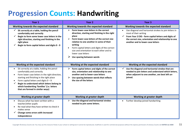### **Progression Counts: Handwriting**

| Year 1                                                                                                                                                                                                                                                                                                                                                | Year 2                                                                                                                                                                                                                                                                                                                                                                                  | Year <sub>3</sub>                                                                                                                                                                                                                     |
|-------------------------------------------------------------------------------------------------------------------------------------------------------------------------------------------------------------------------------------------------------------------------------------------------------------------------------------------------------|-----------------------------------------------------------------------------------------------------------------------------------------------------------------------------------------------------------------------------------------------------------------------------------------------------------------------------------------------------------------------------------------|---------------------------------------------------------------------------------------------------------------------------------------------------------------------------------------------------------------------------------------|
| Working towards the expected standard                                                                                                                                                                                                                                                                                                                 | Working towards the expected standard                                                                                                                                                                                                                                                                                                                                                   | Working towards the expected standard                                                                                                                                                                                                 |
| Sit correctly at a table, holding the pencil<br>comfortably and correctly<br>Begin to form some lower case letters in the<br>right direction, starting and finishing in the<br>right place<br>Begin to form capital letters and digits 0 - 9                                                                                                          | Form lower-case letters in the correct<br>⋗<br>direction, starting and finishing in the right<br>place<br>Form lower-case letters of the correct size<br>$\blacktriangleright$<br>relative to one another in some of their<br>writing<br>Form capital letters and digits of the correct<br>size and orientation to each other and to<br>lower case letters<br>Use spacing between words | Use diagonal and horizontal strokes to join letters in<br>most of their writing<br>From Year 2 EXS - form capital letters and digits of<br>the correct size, orientation and relationship to one<br>another and to lower-case letters |
| Working at the expected standard                                                                                                                                                                                                                                                                                                                      | Working at the expected standard                                                                                                                                                                                                                                                                                                                                                        | Working at the expected standard                                                                                                                                                                                                      |
| Sit correctly at a table, holding the pencil<br>comfortably and correctly<br>Form lower case letters in the right direction,<br>starting and finishing in the right place<br>Form capital letters and digits $0 - 9$<br>Begin to understand which letters belong to<br>which handwriting 'families' (i.e. letters<br>that are formed in similar ways) | Form capital letters and digits of the correct<br>size, orientation and relationship to one<br>another and to lower-case letters<br>➤<br>Use spacing between words that reflects<br>the size of the letters                                                                                                                                                                             | Use the diagonal and horizontal strokes that are<br>needed to join letters and understand which letters,<br>when adjacent to one another, are best left un-<br>joined.                                                                |
| Working at greater depth                                                                                                                                                                                                                                                                                                                              | Working at greater depth                                                                                                                                                                                                                                                                                                                                                                | Working at greater depth                                                                                                                                                                                                              |
| Discuss what has been written with a<br>teacher/other pupils<br>Re-read what they have written to check it<br>makes sense<br>Change some errors with increased<br>independence                                                                                                                                                                        | Use the diagonal and horizontal strokes<br>needed to join some letters.                                                                                                                                                                                                                                                                                                                 | Further develop joined handwriting                                                                                                                                                                                                    |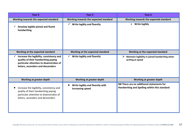| Year 4                                                                                                                                                         | Year <sub>5</sub>                                   | Year <sub>6</sub>                                                                          |
|----------------------------------------------------------------------------------------------------------------------------------------------------------------|-----------------------------------------------------|--------------------------------------------------------------------------------------------|
| Working towards the expected standard                                                                                                                          | Working towards the expected standard               | Working towards the expected standard                                                      |
| Develop legible joined and fluent<br>$\checkmark$<br>handwriting                                                                                               | $\checkmark$ Write legibly and fluently             | $\triangleright$ Write legibly                                                             |
| Working at the expected standard                                                                                                                               | Working at the expected standard                    | Working at the expected standard                                                           |
| Increase the legibility, consistency and<br>quality of their handwriting paying<br>particular attention to downstrokes of<br>letters, ascenders and descenders | Write legibly and fluently                          | Maintain legibility in joined handwriting when<br>writing at speed                         |
| Working at greater depth                                                                                                                                       | Working at greater depth                            | Working at greater depth                                                                   |
| Increase the legibility, consistency and<br>quality of their handwriting paying<br>particular attention to downstrokes of<br>letters, ascenders and descenders | Write legibly and fluently with<br>increasing speed | NB There are no additional statements for<br>Handwriting and Spelling within this standard |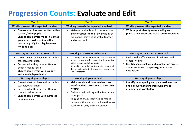#### **Progression Counts: Evaluate and Edit**

| <b>Year 1</b>                                                                                                                                                                                | <b>Year 2</b>                                                                                                                                                                                                                                                                          | <b>Year 3</b>                                                                                                                                                         |
|----------------------------------------------------------------------------------------------------------------------------------------------------------------------------------------------|----------------------------------------------------------------------------------------------------------------------------------------------------------------------------------------------------------------------------------------------------------------------------------------|-----------------------------------------------------------------------------------------------------------------------------------------------------------------------|
| Working towards the expected standard                                                                                                                                                        | Working towards the expected standard                                                                                                                                                                                                                                                  | Working towards the expected standard                                                                                                                                 |
| Discuss what has been written with a<br>teacher/other pupils<br>Change some errors made in learned<br>graphemes in discussion with a<br>teacher e.g. My fut is big becomes<br>My foot is big | Make some simple additions, revisions<br>$\bullet$<br>and corrections to their own writing by:<br>evaluating their writing with a teacher<br>and other pupils                                                                                                                          | With support identify some spelling and<br>punctuation errors and make some corrections                                                                               |
| Working at the expected standard                                                                                                                                                             | Working at the expected standard                                                                                                                                                                                                                                                       | Working at the expected standard                                                                                                                                      |
| Discuss what has been written with a<br>teacher/other pupils<br>Re-read what they have written to<br>check it makes sense<br>Change some errors with support<br>and some independently       | Make simple additions, revisions and corrections<br>to their own writing by: evaluating their writing<br>with a teacher and other pupils<br>Re-read to check their writing makes sense and<br>that verbs to indicate time are used to correctly<br>and consistently                    | Evaluate the effectiveness of their own and<br>others' writing<br>Identify some spelling and punctuation errors<br>and make some changes to grammar and<br>vocabulary |
| Working at greater depth                                                                                                                                                                     | Working at greater depth                                                                                                                                                                                                                                                               | Working at greater depth                                                                                                                                              |
| Discuss what has been written with a<br>$\bullet$<br>teacher/other pupils<br>Re-read what they have written to<br>check it makes sense<br>Change some errors with increased<br>independence  | Make simple additions, revisions and<br>➤<br>proof-reading corrections to their own<br>writing<br>Evaluate their writing with a teacher and<br>other pupils<br>Re-read to check their writing makes<br>sense and that verbs to indicate time are<br>used to correctly and consistently | Identify most spelling and punctuation errors<br>and edit work, making improvements to<br>grammar and vocabulary                                                      |